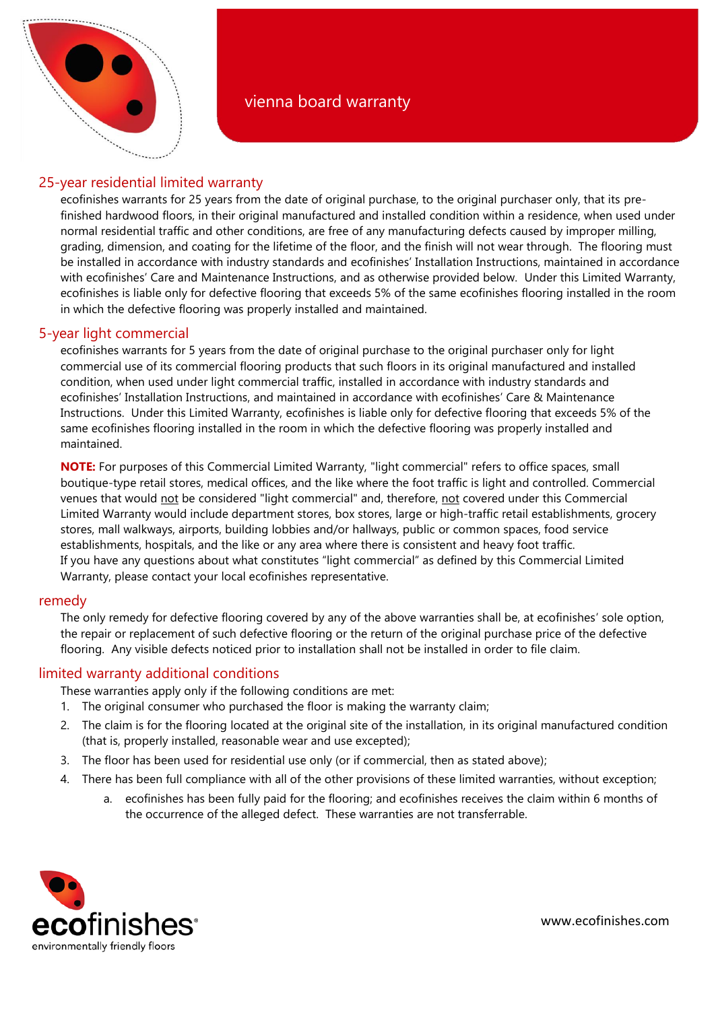

# 25-year residential limited warranty

ecofinishes warrants for 25 years from the date of original purchase, to the original purchaser only, that its prefinished hardwood floors, in their original manufactured and installed condition within a residence, when used under normal residential traffic and other conditions, are free of any manufacturing defects caused by improper milling, grading, dimension, and coating for the lifetime of the floor, and the finish will not wear through. The flooring must be installed in accordance with industry standards and ecofinishes' Installation Instructions, maintained in accordance with ecofinishes' Care and Maintenance Instructions, and as otherwise provided below. Under this Limited Warranty, ecofinishes is liable only for defective flooring that exceeds 5% of the same ecofinishes flooring installed in the room in which the defective flooring was properly installed and maintained.

## 5-year light commercial

ecofinishes warrants for 5 years from the date of original purchase to the original purchaser only for light commercial use of its commercial flooring products that such floors in its original manufactured and installed condition, when used under light commercial traffic, installed in accordance with industry standards and ecofinishes' Installation Instructions, and maintained in accordance with ecofinishes' Care & Maintenance Instructions. Under this Limited Warranty, ecofinishes is liable only for defective flooring that exceeds 5% of the same ecofinishes flooring installed in the room in which the defective flooring was properly installed and maintained.

**NOTE:** For purposes of this Commercial Limited Warranty, "light commercial" refers to office spaces, small boutique-type retail stores, medical offices, and the like where the foot traffic is light and controlled. Commercial venues that would not be considered "light commercial" and, therefore, not covered under this Commercial Limited Warranty would include department stores, box stores, large or high-traffic retail establishments, grocery stores, mall walkways, airports, building lobbies and/or hallways, public or common spaces, food service establishments, hospitals, and the like or any area where there is consistent and heavy foot traffic. If you have any questions about what constitutes "light commercial" as defined by this Commercial Limited Warranty, please contact your local ecofinishes representative.

## remedy

The only remedy for defective flooring covered by any of the above warranties shall be, at ecofinishes' sole option, the repair or replacement of such defective flooring or the return of the original purchase price of the defective flooring. Any visible defects noticed prior to installation shall not be installed in order to file claim.

## limited warranty additional conditions

These warranties apply only if the following conditions are met:

- 1. The original consumer who purchased the floor is making the warranty claim;
- 2. The claim is for the flooring located at the original site of the installation, in its original manufactured condition (that is, properly installed, reasonable wear and use excepted);
- 3. The floor has been used for residential use only (or if commercial, then as stated above);
- 4. There has been full compliance with all of the other provisions of these limited warranties, without exception;
	- a. ecofinishes has been fully paid for the flooring; and ecofinishes receives the claim within 6 months of the occurrence of the alleged defect. These warranties are not transferrable.



www.ecofinishes.com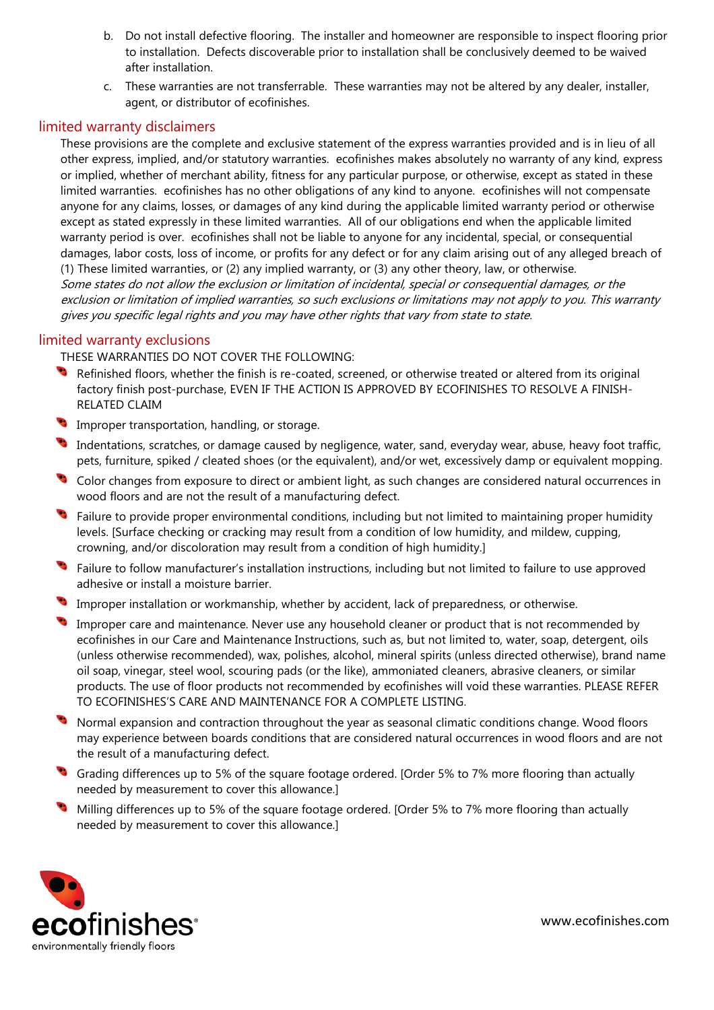- b. Do not install defective flooring. The installer and homeowner are responsible to inspect flooring prior to installation. Defects discoverable prior to installation shall be conclusively deemed to be waived after installation.
- c. These warranties are not transferrable. These warranties may not be altered by any dealer, installer, agent, or distributor of ecofinishes.

#### limited warranty disclaimers

These provisions are the complete and exclusive statement of the express warranties provided and is in lieu of all other express, implied, and/or statutory warranties. ecofinishes makes absolutely no warranty of any kind, express or implied, whether of merchant ability, fitness for any particular purpose, or otherwise, except as stated in these limited warranties. ecofinishes has no other obligations of any kind to anyone. ecofinishes will not compensate anyone for any claims, losses, or damages of any kind during the applicable limited warranty period or otherwise except as stated expressly in these limited warranties. All of our obligations end when the applicable limited warranty period is over. ecofinishes shall not be liable to anyone for any incidental, special, or consequential damages, labor costs, loss of income, or profits for any defect or for any claim arising out of any alleged breach of (1) These limited warranties, or (2) any implied warranty, or (3) any other theory, law, or otherwise. Some states do not allow the exclusion or limitation of incidental, special or consequential damages, or the exclusion or limitation of implied warranties, so such exclusions or limitations may not apply to you. This warranty gives you specific legal rights and you may have other rights that vary from state to state.

### limited warranty exclusions

THESE WARRANTIES DO NOT COVER THE FOLLOWING:

- Refinished floors, whether the finish is re-coated, screened, or otherwise treated or altered from its original factory finish post-purchase, EVEN IF THE ACTION IS APPROVED BY ECOFINISHES TO RESOLVE A FINISH-RELATED CLAIM
- Improper transportation, handling, or storage.
- Indentations, scratches, or damage caused by negligence, water, sand, everyday wear, abuse, heavy foot traffic, pets, furniture, spiked / cleated shoes (or the equivalent), and/or wet, excessively damp or equivalent mopping.
- Color changes from exposure to direct or ambient light, as such changes are considered natural occurrences in wood floors and are not the result of a manufacturing defect.
- Failure to provide proper environmental conditions, including but not limited to maintaining proper humidity levels. [Surface checking or cracking may result from a condition of low humidity, and mildew, cupping, crowning, and/or discoloration may result from a condition of high humidity.]
- Failure to follow manufacturer's installation instructions, including but not limited to failure to use approved adhesive or install a moisture barrier.
- Improper installation or workmanship, whether by accident, lack of preparedness, or otherwise.
- Improper care and maintenance. Never use any household cleaner or product that is not recommended by ecofinishes in our Care and Maintenance Instructions, such as, but not limited to, water, soap, detergent, oils (unless otherwise recommended), wax, polishes, alcohol, mineral spirits (unless directed otherwise), brand name oil soap, vinegar, steel wool, scouring pads (or the like), ammoniated cleaners, abrasive cleaners, or similar products. The use of floor products not recommended by ecofinishes will void these warranties. PLEASE REFER TO ECOFINISHES'S CARE AND MAINTENANCE FOR A COMPLETE LISTING.
- Normal expansion and contraction throughout the year as seasonal climatic conditions change. Wood floors may experience between boards conditions that are considered natural occurrences in wood floors and are not the result of a manufacturing defect.
- Grading differences up to 5% of the square footage ordered. [Order 5% to 7% more flooring than actually needed by measurement to cover this allowance.]
- Milling differences up to 5% of the square footage ordered. [Order 5% to 7% more flooring than actually needed by measurement to cover this allowance.]



www.ecofinishes.com